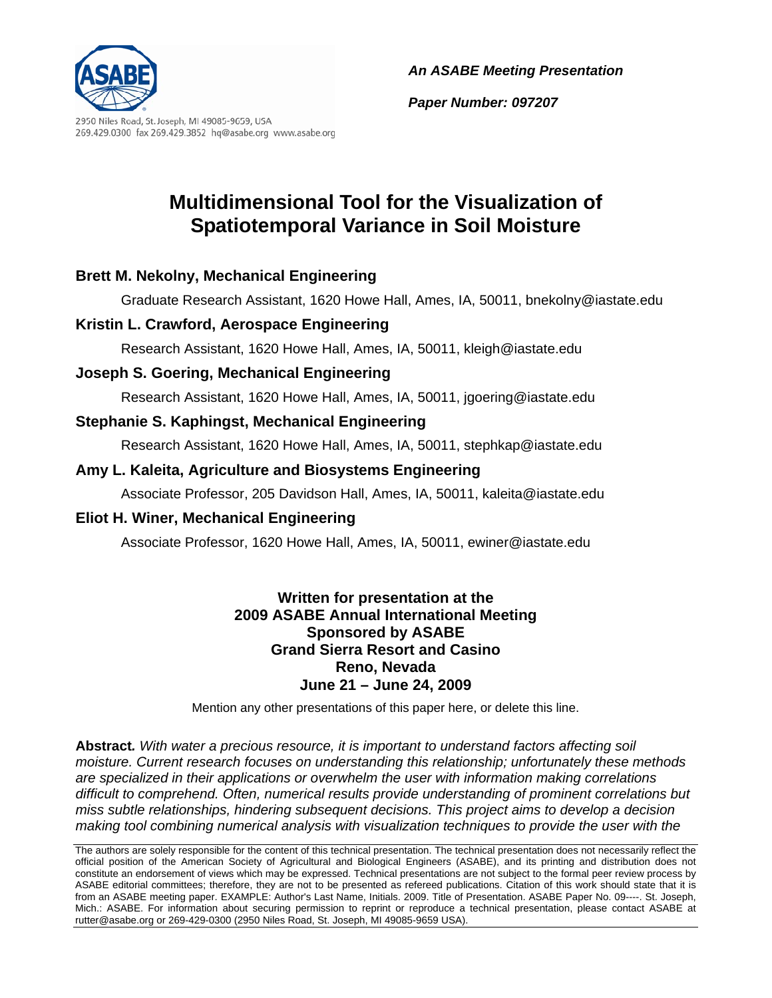*An ASABE Meeting Presentation*



2950 Niles Road, St. Joseph, MI 49085-9659, USA 269.429.0300 fax 269.429.3852 hq@asabe.org www.asabe.org *Paper Number: 097207*

# **Multidimensional Tool for the Visualization of Spatiotemporal Variance in Soil Moisture**

### **Brett M. Nekolny, Mechanical Engineering**

Graduate Research Assistant, 1620 Howe Hall, Ames, IA, 50011, bnekolny@iastate.edu

### **Kristin L. Crawford, Aerospace Engineering**

Research Assistant, 1620 Howe Hall, Ames, IA, 50011, kleigh@iastate.edu

### **Joseph S. Goering, Mechanical Engineering**

Research Assistant, 1620 Howe Hall, Ames, IA, 50011, jgoering@iastate.edu

### **Stephanie S. Kaphingst, Mechanical Engineering**

Research Assistant, 1620 Howe Hall, Ames, IA, 50011, stephkap@iastate.edu

#### **Amy L. Kaleita, Agriculture and Biosystems Engineering**

Associate Professor, 205 Davidson Hall, Ames, IA, 50011, kaleita@iastate.edu

### **Eliot H. Winer, Mechanical Engineering**

Associate Professor, 1620 Howe Hall, Ames, IA, 50011, ewiner@iastate.edu

#### **Written for presentation at the 2009 ASABE Annual International Meeting Sponsored by ASABE Grand Sierra Resort and Casino Reno, Nevada June 21 – June 24, 2009**

Mention any other presentations of this paper here, or delete this line.

**Abstract***. With water a precious resource, it is important to understand factors affecting soil moisture. Current research focuses on understanding this relationship; unfortunately these methods are specialized in their applications or overwhelm the user with information making correlations difficult to comprehend. Often, numerical results provide understanding of prominent correlations but miss subtle relationships, hindering subsequent decisions. This project aims to develop a decision making tool combining numerical analysis with visualization techniques to provide the user with the* 

The authors are solely responsible for the content of this technical presentation. The technical presentation does not necessarily reflect the official position of the American Society of Agricultural and Biological Engineers (ASABE), and its printing and distribution does not constitute an endorsement of views which may be expressed. Technical presentations are not subject to the formal peer review process by ASABE editorial committees; therefore, they are not to be presented as refereed publications. Citation of this work should state that it is from an ASABE meeting paper. EXAMPLE: Author's Last Name, Initials. 2009. Title of Presentation. ASABE Paper No. 09----. St. Joseph, Mich.: ASABE. For information about securing permission to reprint or reproduce a technical presentation, please contact ASABE at rutter@asabe.org or 269-429-0300 (2950 Niles Road, St. Joseph, MI 49085-9659 USA).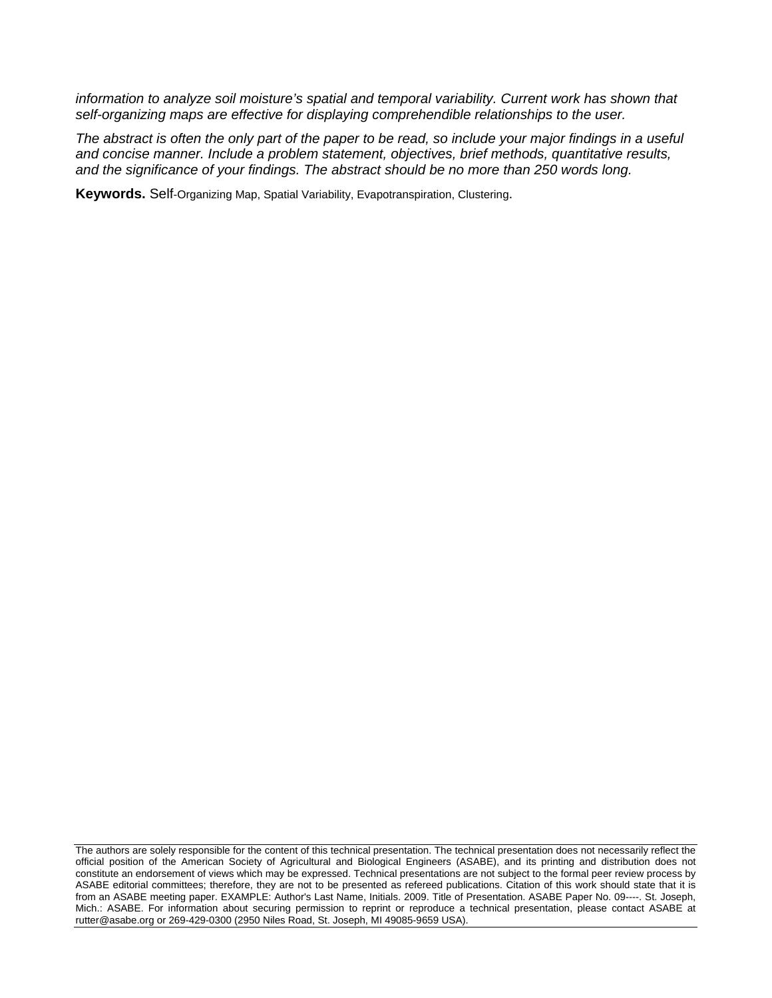*information to analyze soil moisture's spatial and temporal variability. Current work has shown that self-organizing maps are effective for displaying comprehendible relationships to the user.*

*The abstract is often the only part of the paper to be read, so include your major findings in a useful and concise manner. Include a problem statement, objectives, brief methods, quantitative results, and the significance of your findings. The abstract should be no more than 250 words long.* 

**Keywords.** Self-Organizing Map, Spatial Variability, Evapotranspiration, Clustering.

The authors are solely responsible for the content of this technical presentation. The technical presentation does not necessarily reflect the official position of the American Society of Agricultural and Biological Engineers (ASABE), and its printing and distribution does not constitute an endorsement of views which may be expressed. Technical presentations are not subject to the formal peer review process by ASABE editorial committees; therefore, they are not to be presented as refereed publications. Citation of this work should state that it is from an ASABE meeting paper. EXAMPLE: Author's Last Name, Initials. 2009. Title of Presentation. ASABE Paper No. 09----. St. Joseph, Mich.: ASABE. For information about securing permission to reprint or reproduce a technical presentation, please contact ASABE at rutter@asabe.org or 269-429-0300 (2950 Niles Road, St. Joseph, MI 49085-9659 USA).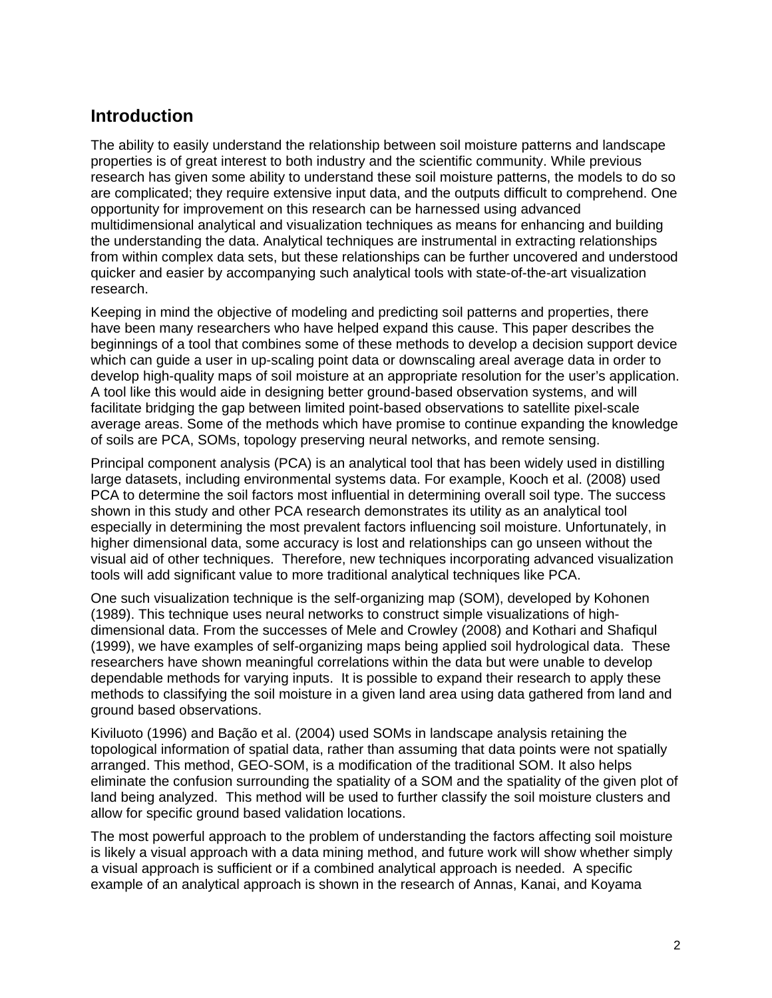### **Introduction**

The ability to easily understand the relationship between soil moisture patterns and landscape properties is of great interest to both industry and the scientific community. While previous research has given some ability to understand these soil moisture patterns, the models to do so are complicated; they require extensive input data, and the outputs difficult to comprehend. One opportunity for improvement on this research can be harnessed using advanced multidimensional analytical and visualization techniques as means for enhancing and building the understanding the data. Analytical techniques are instrumental in extracting relationships from within complex data sets, but these relationships can be further uncovered and understood quicker and easier by accompanying such analytical tools with state-of-the-art visualization research.

Keeping in mind the objective of modeling and predicting soil patterns and properties, there have been many researchers who have helped expand this cause. This paper describes the beginnings of a tool that combines some of these methods to develop a decision support device which can guide a user in up-scaling point data or downscaling areal average data in order to develop high-quality maps of soil moisture at an appropriate resolution for the user's application. A tool like this would aide in designing better ground-based observation systems, and will facilitate bridging the gap between limited point-based observations to satellite pixel-scale average areas. Some of the methods which have promise to continue expanding the knowledge of soils are PCA, SOMs, topology preserving neural networks, and remote sensing.

Principal component analysis (PCA) is an analytical tool that has been widely used in distilling large datasets, including environmental systems data. For example, Kooch et al. (2008) used PCA to determine the soil factors most influential in determining overall soil type. The success shown in this study and other PCA research demonstrates its utility as an analytical tool especially in determining the most prevalent factors influencing soil moisture. Unfortunately, in higher dimensional data, some accuracy is lost and relationships can go unseen without the visual aid of other techniques. Therefore, new techniques incorporating advanced visualization tools will add significant value to more traditional analytical techniques like PCA.

One such visualization technique is the self-organizing map (SOM), developed by Kohonen (1989). This technique uses neural networks to construct simple visualizations of highdimensional data. From the successes of Mele and Crowley (2008) and Kothari and Shafiqul (1999), we have examples of self-organizing maps being applied soil hydrological data. These researchers have shown meaningful correlations within the data but were unable to develop dependable methods for varying inputs. It is possible to expand their research to apply these methods to classifying the soil moisture in a given land area using data gathered from land and ground based observations.

Kiviluoto (1996) and Bação et al. (2004) used SOMs in landscape analysis retaining the topological information of spatial data, rather than assuming that data points were not spatially arranged. This method, GEO-SOM, is a modification of the traditional SOM. It also helps eliminate the confusion surrounding the spatiality of a SOM and the spatiality of the given plot of land being analyzed. This method will be used to further classify the soil moisture clusters and allow for specific ground based validation locations.

The most powerful approach to the problem of understanding the factors affecting soil moisture is likely a visual approach with a data mining method, and future work will show whether simply a visual approach is sufficient or if a combined analytical approach is needed. A specific example of an analytical approach is shown in the research of Annas, Kanai, and Koyama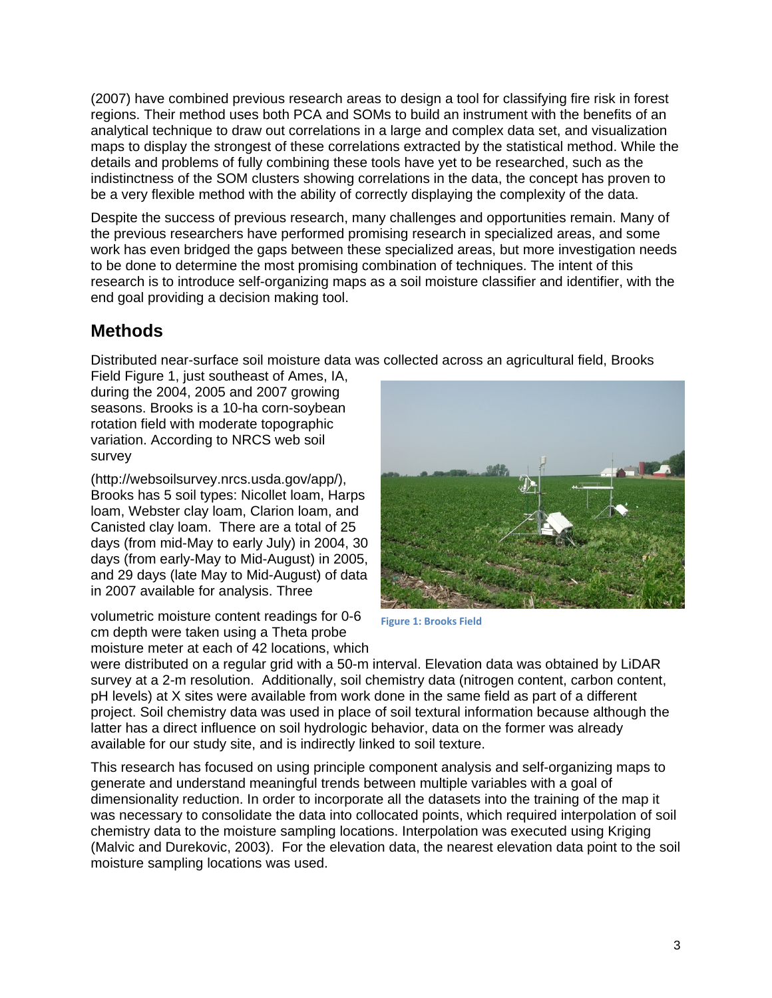(2007) have combined previous research areas to design a tool for classifying fire risk in forest regions. Their method uses both PCA and SOMs to build an instrument with the benefits of an analytical technique to draw out correlations in a large and complex data set, and visualization maps to display the strongest of these correlations extracted by the statistical method. While the details and problems of fully combining these tools have yet to be researched, such as the indistinctness of the SOM clusters showing correlations in the data, the concept has proven to be a very flexible method with the ability of correctly displaying the complexity of the data.

Despite the success of previous research, many challenges and opportunities remain. Many of the previous researchers have performed promising research in specialized areas, and some work has even bridged the gaps between these specialized areas, but more investigation needs to be done to determine the most promising combination of techniques. The intent of this research is to introduce self-organizing maps as a soil moisture classifier and identifier, with the end goal providing a decision making tool.

### **Methods**

Distributed near-surface soil moisture data was collected across an agricultural field, Brooks

Field Figure 1, just southeast of Ames, IA, during the 2004, 2005 and 2007 growing seasons. Brooks is a 10-ha corn-soybean rotation field with moderate topographic variation. According to NRCS web soil survey

(http://websoilsurvey.nrcs.usda.gov/app/), Brooks has 5 soil types: Nicollet loam, Harps loam, Webster clay loam, Clarion loam, and Canisted clay loam. There are a total of 25 days (from mid-May to early July) in 2004, 30 days (from early-May to Mid-August) in 2005, and 29 days (late May to Mid-August) of data in 2007 available for analysis. Three

volumetric moisture content readings for 0-6 cm depth were taken using a Theta probe moisture meter at each of 42 locations, which



**Figure 1: Brooks Field**

were distributed on a regular grid with a 50-m interval. Elevation data was obtained by LiDAR survey at a 2-m resolution. Additionally, soil chemistry data (nitrogen content, carbon content, pH levels) at X sites were available from work done in the same field as part of a different project. Soil chemistry data was used in place of soil textural information because although the latter has a direct influence on soil hydrologic behavior, data on the former was already available for our study site, and is indirectly linked to soil texture.

This research has focused on using principle component analysis and self-organizing maps to generate and understand meaningful trends between multiple variables with a goal of dimensionality reduction. In order to incorporate all the datasets into the training of the map it was necessary to consolidate the data into collocated points, which required interpolation of soil chemistry data to the moisture sampling locations. Interpolation was executed using Kriging (Malvic and Durekovic, 2003). For the elevation data, the nearest elevation data point to the soil moisture sampling locations was used.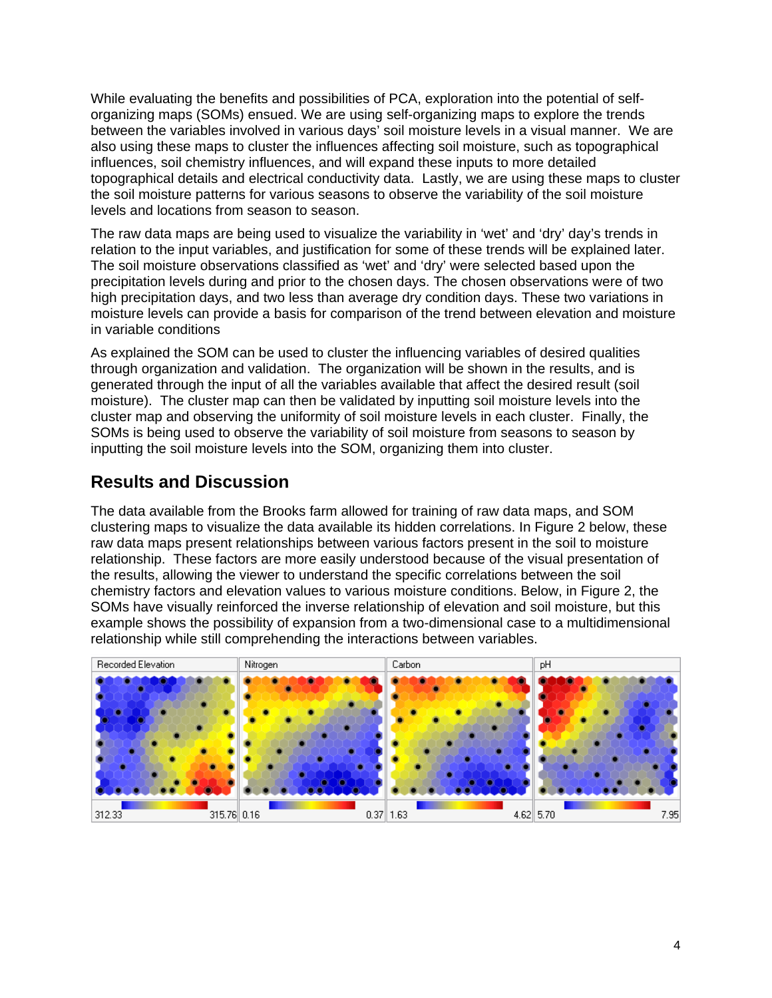While evaluating the benefits and possibilities of PCA, exploration into the potential of selforganizing maps (SOMs) ensued. We are using self-organizing maps to explore the trends between the variables involved in various days' soil moisture levels in a visual manner. We are also using these maps to cluster the influences affecting soil moisture, such as topographical influences, soil chemistry influences, and will expand these inputs to more detailed topographical details and electrical conductivity data. Lastly, we are using these maps to cluster the soil moisture patterns for various seasons to observe the variability of the soil moisture levels and locations from season to season.

The raw data maps are being used to visualize the variability in 'wet' and 'dry' day's trends in relation to the input variables, and justification for some of these trends will be explained later. The soil moisture observations classified as 'wet' and 'dry' were selected based upon the precipitation levels during and prior to the chosen days. The chosen observations were of two high precipitation days, and two less than average dry condition days. These two variations in moisture levels can provide a basis for comparison of the trend between elevation and moisture in variable conditions

As explained the SOM can be used to cluster the influencing variables of desired qualities through organization and validation. The organization will be shown in the results, and is generated through the input of all the variables available that affect the desired result (soil moisture). The cluster map can then be validated by inputting soil moisture levels into the cluster map and observing the uniformity of soil moisture levels in each cluster. Finally, the SOMs is being used to observe the variability of soil moisture from seasons to season by inputting the soil moisture levels into the SOM, organizing them into cluster.

## **Results and Discussion**

The data available from the Brooks farm allowed for training of raw data maps, and SOM clustering maps to visualize the data available its hidden correlations. In Figure 2 below, these raw data maps present relationships between various factors present in the soil to moisture relationship. These factors are more easily understood because of the visual presentation of the results, allowing the viewer to understand the specific correlations between the soil chemistry factors and elevation values to various moisture conditions. Below, in Figure 2, the SOMs have visually reinforced the inverse relationship of elevation and soil moisture, but this example shows the possibility of expansion from a two-dimensional case to a multidimensional relationship while still comprehending the interactions between variables.

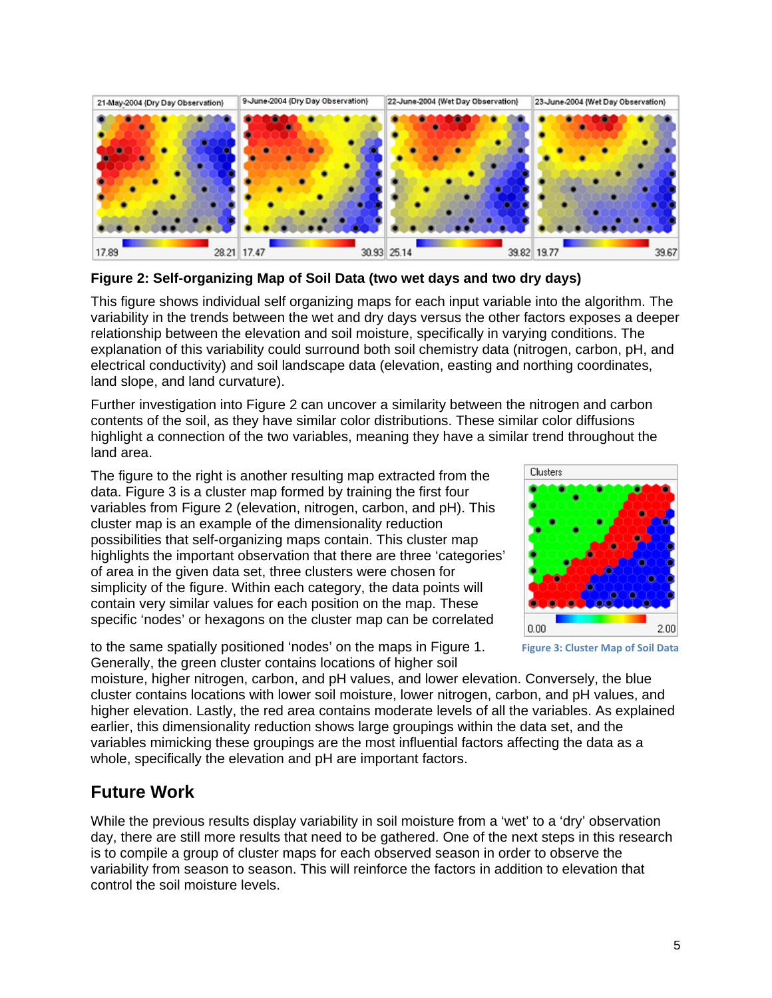



This figure shows individual self organizing maps for each input variable into the algorithm. The variability in the trends between the wet and dry days versus the other factors exposes a deeper relationship between the elevation and soil moisture, specifically in varying conditions. The explanation of this variability could surround both soil chemistry data (nitrogen, carbon, pH, and electrical conductivity) and soil landscape data (elevation, easting and northing coordinates, land slope, and land curvature).

Further investigation into Figure 2 can uncover a similarity between the nitrogen and carbon contents of the soil, as they have similar color distributions. These similar color diffusions highlight a connection of the two variables, meaning they have a similar trend throughout the land area.

The figure to the right is another resulting map extracted from the data. Figure 3 is a cluster map formed by training the first four variables from Figure 2 (elevation, nitrogen, carbon, and pH). This cluster map is an example of the dimensionality reduction possibilities that self-organizing maps contain. This cluster map highlights the important observation that there are three 'categories' of area in the given data set, three clusters were chosen for simplicity of the figure. Within each category, the data points will contain very similar values for each position on the map. These specific 'nodes' or hexagons on the cluster map can be correlated

to the same spatially positioned 'nodes' on the maps in Figure 1. Generally, the green cluster contains locations of higher soil



**Figure 3: Cluster Map of Soil Data**

moisture, higher nitrogen, carbon, and pH values, and lower elevation. Conversely, the blue cluster contains locations with lower soil moisture, lower nitrogen, carbon, and pH values, and higher elevation. Lastly, the red area contains moderate levels of all the variables. As explained earlier, this dimensionality reduction shows large groupings within the data set, and the variables mimicking these groupings are the most influential factors affecting the data as a whole, specifically the elevation and pH are important factors.

# **Future Work**

While the previous results display variability in soil moisture from a 'wet' to a 'dry' observation day, there are still more results that need to be gathered. One of the next steps in this research is to compile a group of cluster maps for each observed season in order to observe the variability from season to season. This will reinforce the factors in addition to elevation that control the soil moisture levels.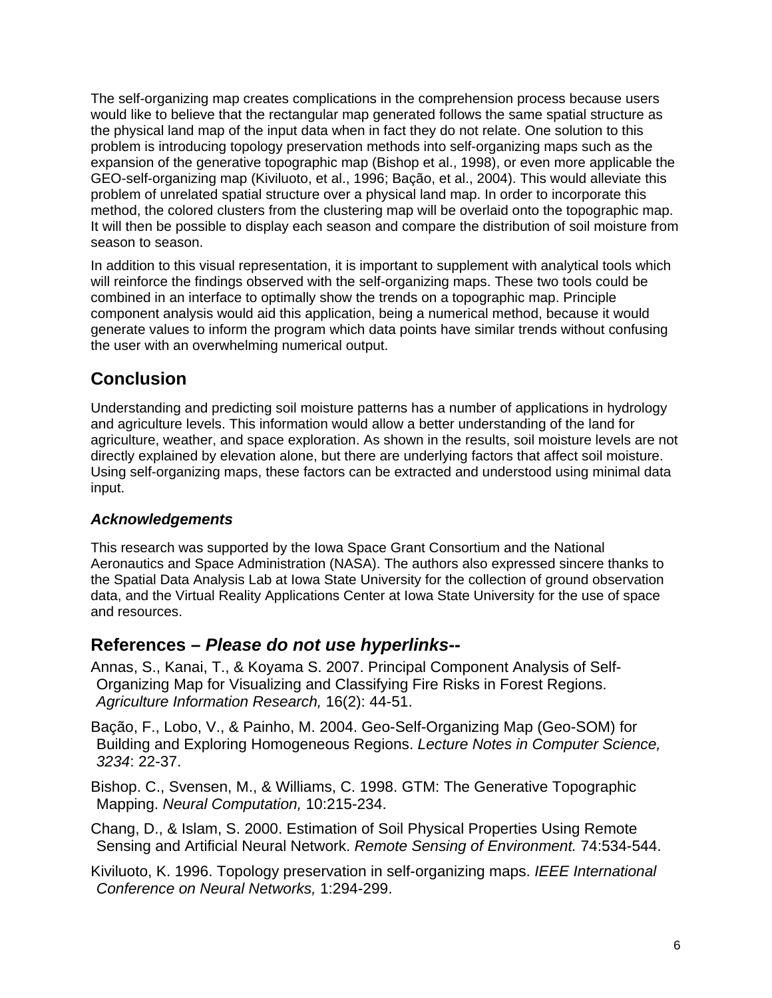The self-organizing map creates complications in the comprehension process because users would like to believe that the rectangular map generated follows the same spatial structure as the physical land map of the input data when in fact they do not relate. One solution to this problem is introducing topology preservation methods into self-organizing maps such as the expansion of the generative topographic map (Bishop et al., 1998), or even more applicable the GEO-self-organizing map (Kiviluoto, et al., 1996; Bação, et al., 2004). This would alleviate this problem of unrelated spatial structure over a physical land map. In order to incorporate this method, the colored clusters from the clustering map will be overlaid onto the topographic map. It will then be possible to display each season and compare the distribution of soil moisture from season to season.

In addition to this visual representation, it is important to supplement with analytical tools which will reinforce the findings observed with the self-organizing maps. These two tools could be combined in an interface to optimally show the trends on a topographic map. Principle component analysis would aid this application, being a numerical method, because it would generate values to inform the program which data points have similar trends without confusing the user with an overwhelming numerical output.

# **Conclusion**

Understanding and predicting soil moisture patterns has a number of applications in hydrology and agriculture levels. This information would allow a better understanding of the land for agriculture, weather, and space exploration. As shown in the results, soil moisture levels are not directly explained by elevation alone, but there are underlying factors that affect soil moisture. Using self-organizing maps, these factors can be extracted and understood using minimal data input.

### *Acknowledgements*

This research was supported by the Iowa Space Grant Consortium and the National Aeronautics and Space Administration (NASA). The authors also expressed sincere thanks to the Spatial Data Analysis Lab at Iowa State University for the collection of ground observation data, and the Virtual Reality Applications Center at Iowa State University for the use of space and resources.

### **References –** *Please do not use hyperlinks***--**

Annas, S., Kanai, T., & Koyama S. 2007. Principal Component Analysis of Self-Organizing Map for Visualizing and Classifying Fire Risks in Forest Regions. *Agriculture Information Research,* 16(2): 44-51.

Bação, F., Lobo, V., & Painho, M. 2004. Geo-Self-Organizing Map (Geo-SOM) for Building and Exploring Homogeneous Regions. *Lecture Notes in Computer Science, 3234*: 22-37.

Bishop. C., Svensen, M., & Williams, C. 1998. GTM: The Generative Topographic Mapping. *Neural Computation,* 10:215-234.

Chang, D., & Islam, S. 2000. Estimation of Soil Physical Properties Using Remote Sensing and Artificial Neural Network. *Remote Sensing of Environment.* 74:534-544.

Kiviluoto, K. 1996. Topology preservation in self-organizing maps. *IEEE International Conference on Neural Networks,* 1:294-299.